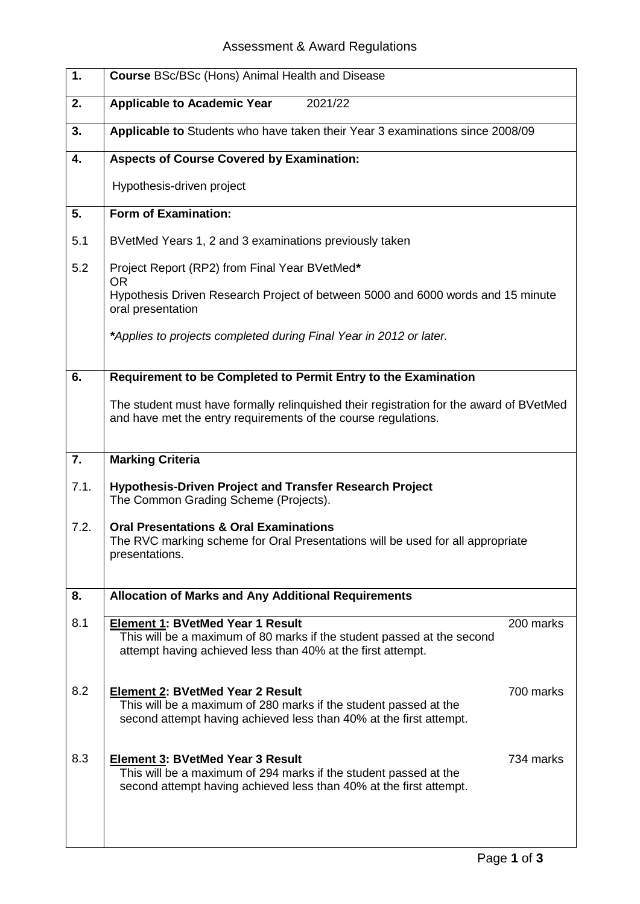## Assessment & Award Regulations

| 1.               | <b>Course BSc/BSc (Hons) Animal Health and Disease</b>                                                                                                                            |           |  |  |
|------------------|-----------------------------------------------------------------------------------------------------------------------------------------------------------------------------------|-----------|--|--|
| 2.               | <b>Applicable to Academic Year</b><br>2021/22                                                                                                                                     |           |  |  |
| 3.               | Applicable to Students who have taken their Year 3 examinations since 2008/09                                                                                                     |           |  |  |
| 4.               | <b>Aspects of Course Covered by Examination:</b>                                                                                                                                  |           |  |  |
|                  | Hypothesis-driven project                                                                                                                                                         |           |  |  |
| 5.               | <b>Form of Examination:</b>                                                                                                                                                       |           |  |  |
| 5.1              | BVetMed Years 1, 2 and 3 examinations previously taken                                                                                                                            |           |  |  |
| 5.2              | Project Report (RP2) from Final Year BVetMed*<br><b>OR</b>                                                                                                                        |           |  |  |
|                  | Hypothesis Driven Research Project of between 5000 and 6000 words and 15 minute<br>oral presentation                                                                              |           |  |  |
|                  | *Applies to projects completed during Final Year in 2012 or later.                                                                                                                |           |  |  |
| 6.               | Requirement to be Completed to Permit Entry to the Examination                                                                                                                    |           |  |  |
|                  | The student must have formally relinquished their registration for the award of BVetMed<br>and have met the entry requirements of the course regulations.                         |           |  |  |
| $\overline{7}$ . | <b>Marking Criteria</b>                                                                                                                                                           |           |  |  |
| 7.1.             | <b>Hypothesis-Driven Project and Transfer Research Project</b><br>The Common Grading Scheme (Projects).                                                                           |           |  |  |
| 7.2.             | <b>Oral Presentations &amp; Oral Examinations</b><br>The RVC marking scheme for Oral Presentations will be used for all appropriate<br>presentations.                             |           |  |  |
| 8.               | <b>Allocation of Marks and Any Additional Requirements</b>                                                                                                                        |           |  |  |
| 8.1              | <b>Element 1: BVetMed Year 1 Result</b><br>This will be a maximum of 80 marks if the student passed at the second<br>attempt having achieved less than 40% at the first attempt.  | 200 marks |  |  |
| 8.2              | <b>Element 2: BVetMed Year 2 Result</b><br>This will be a maximum of 280 marks if the student passed at the<br>second attempt having achieved less than 40% at the first attempt. | 700 marks |  |  |
| 8.3              | <b>Element 3: BVetMed Year 3 Result</b><br>This will be a maximum of 294 marks if the student passed at the<br>second attempt having achieved less than 40% at the first attempt. | 734 marks |  |  |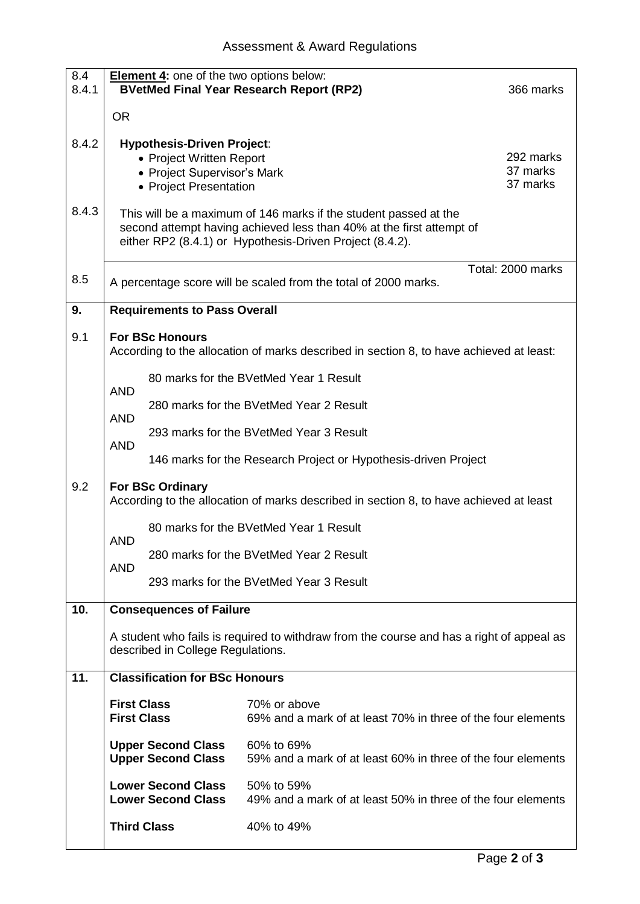| 8.4<br>8.4.1   | <b>Element 4:</b> one of the two options below:<br><b>BVetMed Final Year Research Report (RP2)</b><br>366 marks                                                                                                                                                                                                                                                     |                                                                 |                                                                              |  |  |
|----------------|---------------------------------------------------------------------------------------------------------------------------------------------------------------------------------------------------------------------------------------------------------------------------------------------------------------------------------------------------------------------|-----------------------------------------------------------------|------------------------------------------------------------------------------|--|--|
|                | <b>OR</b>                                                                                                                                                                                                                                                                                                                                                           |                                                                 |                                                                              |  |  |
| 8.4.2<br>8.4.3 | <b>Hypothesis-Driven Project:</b><br>292 marks<br>• Project Written Report<br>37 marks<br>• Project Supervisor's Mark<br>37 marks<br>• Project Presentation<br>This will be a maximum of 146 marks if the student passed at the<br>second attempt having achieved less than 40% at the first attempt of<br>either RP2 (8.4.1) or Hypothesis-Driven Project (8.4.2). |                                                                 |                                                                              |  |  |
| 8.5            | Total: 2000 marks<br>A percentage score will be scaled from the total of 2000 marks.                                                                                                                                                                                                                                                                                |                                                                 |                                                                              |  |  |
| 9.             | <b>Requirements to Pass Overall</b>                                                                                                                                                                                                                                                                                                                                 |                                                                 |                                                                              |  |  |
| 9.1            | <b>For BSc Honours</b><br>According to the allocation of marks described in section 8, to have achieved at least:                                                                                                                                                                                                                                                   |                                                                 |                                                                              |  |  |
|                |                                                                                                                                                                                                                                                                                                                                                                     |                                                                 | 80 marks for the BVetMed Year 1 Result                                       |  |  |
|                | <b>AND</b><br><b>AND</b><br><b>AND</b>                                                                                                                                                                                                                                                                                                                              | 280 marks for the BVetMed Year 2 Result                         |                                                                              |  |  |
|                |                                                                                                                                                                                                                                                                                                                                                                     |                                                                 | 293 marks for the BVetMed Year 3 Result                                      |  |  |
|                |                                                                                                                                                                                                                                                                                                                                                                     | 146 marks for the Research Project or Hypothesis-driven Project |                                                                              |  |  |
| 9.2            | For BSc Ordinary<br>According to the allocation of marks described in section 8, to have achieved at least                                                                                                                                                                                                                                                          |                                                                 |                                                                              |  |  |
|                | <b>AND</b>                                                                                                                                                                                                                                                                                                                                                          |                                                                 | 80 marks for the BVetMed Year 1 Result                                       |  |  |
|                |                                                                                                                                                                                                                                                                                                                                                                     |                                                                 | 280 marks for the BVetMed Year 2 Result                                      |  |  |
|                | <b>AND</b><br>293 marks for the BVetMed Year 3 Result                                                                                                                                                                                                                                                                                                               |                                                                 |                                                                              |  |  |
| 10.            | <b>Consequences of Failure</b>                                                                                                                                                                                                                                                                                                                                      |                                                                 |                                                                              |  |  |
|                | A student who fails is required to withdraw from the course and has a right of appeal as<br>described in College Regulations.                                                                                                                                                                                                                                       |                                                                 |                                                                              |  |  |
| 11.            |                                                                                                                                                                                                                                                                                                                                                                     | <b>Classification for BSc Honours</b>                           |                                                                              |  |  |
|                | <b>First Class</b><br><b>First Class</b>                                                                                                                                                                                                                                                                                                                            |                                                                 | 70% or above<br>69% and a mark of at least 70% in three of the four elements |  |  |
|                |                                                                                                                                                                                                                                                                                                                                                                     | <b>Upper Second Class</b><br><b>Upper Second Class</b>          | 60% to 69%<br>59% and a mark of at least 60% in three of the four elements   |  |  |
|                |                                                                                                                                                                                                                                                                                                                                                                     | <b>Lower Second Class</b><br><b>Lower Second Class</b>          | 50% to 59%<br>49% and a mark of at least 50% in three of the four elements   |  |  |
|                |                                                                                                                                                                                                                                                                                                                                                                     | <b>Third Class</b>                                              | 40% to 49%                                                                   |  |  |